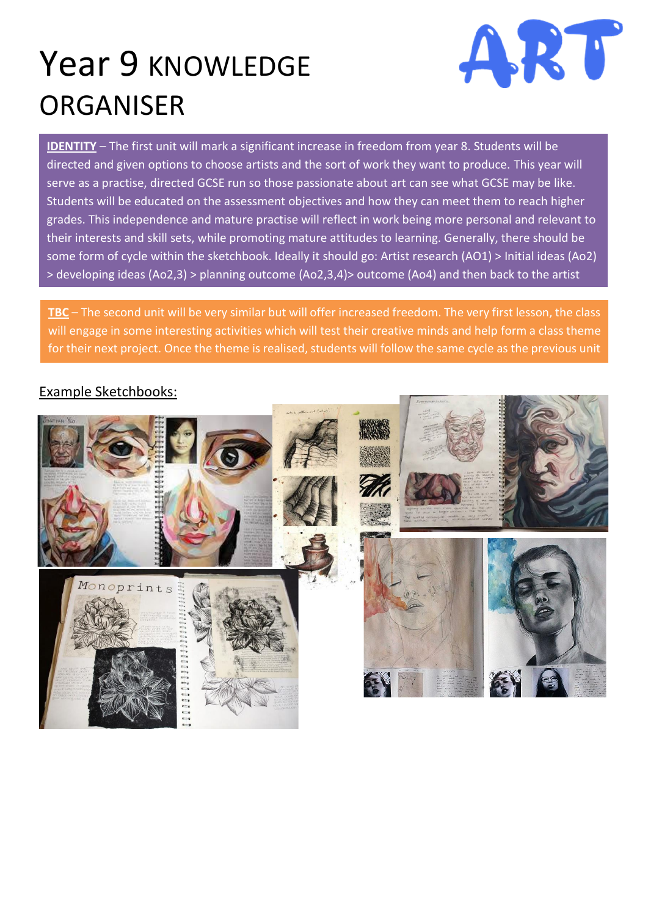## Year 9 KNOWLEDGE ORGANISER



**IDENTITY** – The first unit will mark a significant increase in freedom from year 8. Students will be directed and given options to choose artists and the sort of work they want to produce. This year will serve as a practise, directed GCSE run so those passionate about art can see what GCSE may be like. Students will be educated on the assessment objectives and how they can meet them to reach higher grades. This independence and mature practise will reflect in work being more personal and relevant to their interests and skill sets, while promoting mature attitudes to learning. Generally, there should be some form of cycle within the sketchbook. Ideally it should go: Artist research (AO1) > Initial ideas (Ao2) > developing ideas (Ao2,3) > planning outcome (Ao2,3,4)> outcome (Ao4) and then back to the artist

**TBC** – The second unit will be very similar but will offer increased freedom. The very first lesson, the class will engage in some interesting activities which will test their creative minds and help form a class theme for their next project. Once the theme is realised, students will follow the same cycle as the previous unit

## Example Sketchbooks:

to produce a body of work.

research again.

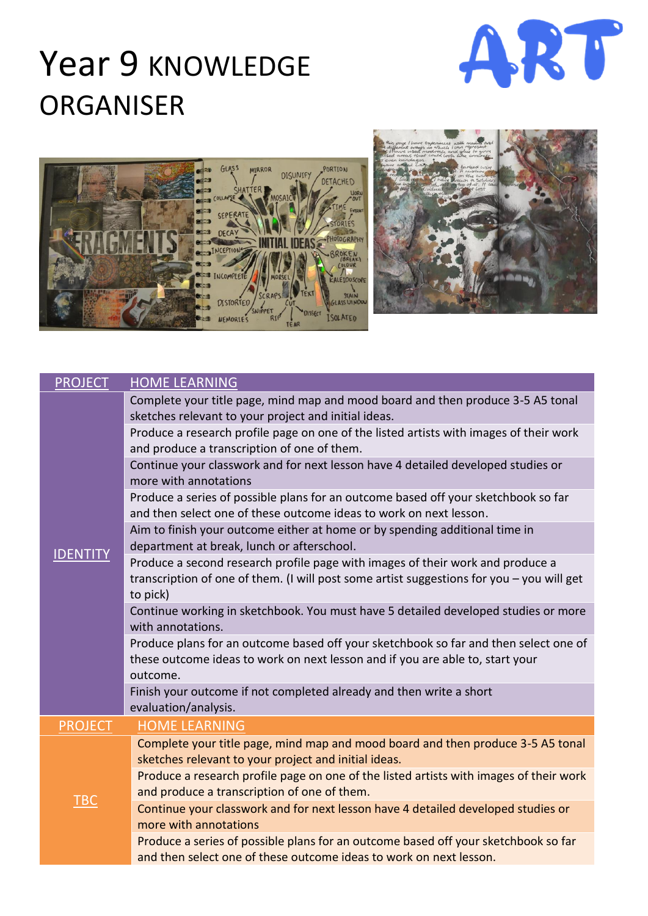## Year 9 KNOWLEDGE ORGANISER







| <b>PROJECT</b> | <b>HOME LEARNING</b>                                                                                                                                                                    |
|----------------|-----------------------------------------------------------------------------------------------------------------------------------------------------------------------------------------|
|                | Complete your title page, mind map and mood board and then produce 3-5 A5 tonal<br>sketches relevant to your project and initial ideas.                                                 |
|                | Produce a research profile page on one of the listed artists with images of their work<br>and produce a transcription of one of them.                                                   |
|                | Continue your classwork and for next lesson have 4 detailed developed studies or<br>more with annotations                                                                               |
|                | Produce a series of possible plans for an outcome based off your sketchbook so far<br>and then select one of these outcome ideas to work on next lesson.                                |
|                | Aim to finish your outcome either at home or by spending additional time in<br>department at break, lunch or afterschool.                                                               |
|                | Produce a second research profile page with images of their work and produce a<br>transcription of one of them. (I will post some artist suggestions for you - you will get<br>to pick) |
|                | Continue working in sketchbook. You must have 5 detailed developed studies or more<br>with annotations.                                                                                 |
|                | Produce plans for an outcome based off your sketchbook so far and then select one of<br>these outcome ideas to work on next lesson and if you are able to, start your<br>outcome.       |
|                | Finish your outcome if not completed already and then write a short<br>evaluation/analysis.                                                                                             |
| <b>PROJECT</b> | <b>HOME LEARNING</b>                                                                                                                                                                    |
|                | Complete your title page, mind map and mood board and then produce 3-5 A5 tonal<br>sketches relevant to your project and initial ideas.                                                 |
|                | Produce a research profile page on one of the listed artists with images of their work<br>and produce a transcription of one of them.                                                   |
| <b>TBC</b>     | Continue your classwork and for next lesson have 4 detailed developed studies or<br>more with annotations                                                                               |
|                | Produce a series of possible plans for an outcome based off your sketchbook so far<br>and then select one of these outcome ideas to work on next lesson.                                |